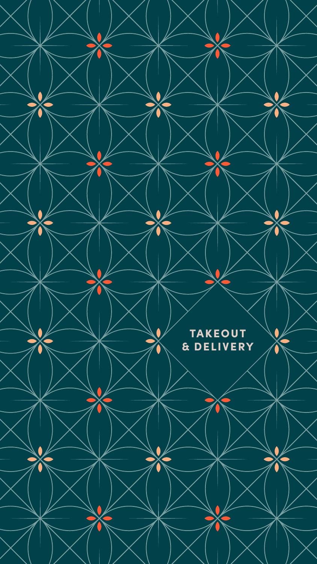

## **TAKEOUT** & DELIVERY

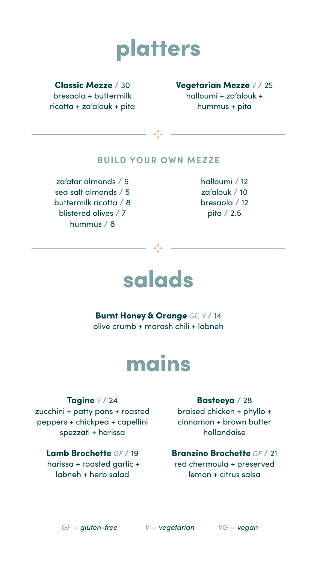#### Classic Mezze / 30

bresaola + buttermilk ricotta + za'alouk + pita

#### Vegetarian Mezze *V* / 25

halloumi + za'alouk + hummus + pita

Burnt Honey & Orange *GF, V* / 14

olive crumb + marash chili + labneh

#### **BUILD YOUR OWN MEZZE**

za'atar almonds / 5 sea salt almonds / 5 buttermilk ricotta / 8 blistered olives / 7 hummus / 8

halloumi / 12 za'alouk / 10 bresaola / 12 pita / 2.5

# platters



Tagine *V* / 24 zucchini + patty pans + roasted peppers + chickpea + capellini spezzati + harissa

### Lamb Brochette *GF* / 19 harissa + roasted garlic +

labneh + herb salad

#### Basteeya / 28

braised chicken + phyllo + cinnamon + brown butter hollandaise

### Branzino Brochette *GF* / 21

red chermoula + preserved lemon + citrus salsa

# mains

#### *GF — gluten-free V — vegetarian VG — vegan*